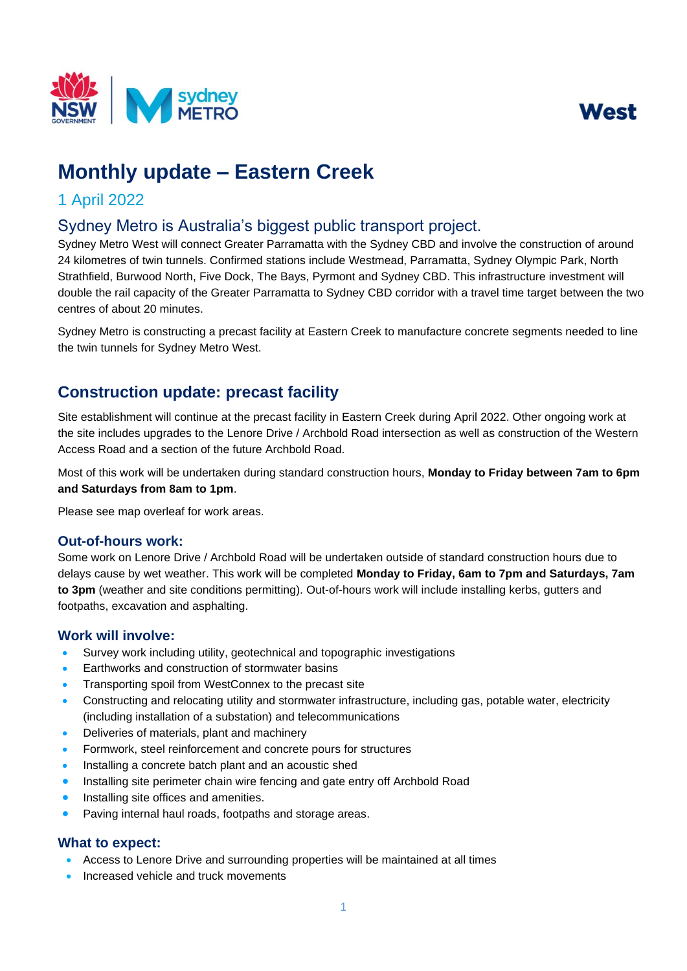



# **Monthly update – Eastern Creek**

# 1 April 2022

# Sydney Metro is Australia's biggest public transport project.

 Sydney Metro West will connect Greater Parramatta with the Sydney CBD and involve the construction of around 24 kilometres of twin tunnels. Confirmed stations include Westmead, Parramatta, Sydney Olympic Park, North Strathfield, Burwood North, Five Dock, The Bays, Pyrmont and Sydney CBD. This infrastructure investment will double the rail capacity of the Greater Parramatta to Sydney CBD corridor with a travel time target between the two centres of about 20 minutes.

Sydney Metro is constructing a precast facility at Eastern Creek to manufacture concrete segments needed to line the twin tunnels for Sydney Metro West.

# **Construction update: precast facility**

Site establishment will continue at the precast facility in Eastern Creek during April 2022. Other ongoing work at the site includes upgrades to the Lenore Drive / Archbold Road intersection as well as construction of the Western Access Road and a section of the future Archbold Road.

Most of this work will be undertaken during standard construction hours, **Monday to Friday between 7am to 6pm and Saturdays from 8am to 1pm**.

Please see map overleaf for work areas.

## **Out-of-hours work:**

 Some work on Lenore Drive / Archbold Road will be undertaken outside of standard construction hours due to delays cause by wet weather. This work will be completed **Monday to Friday, 6am to 7pm and Saturdays, 7am to 3pm** (weather and site conditions permitting). Out-of-hours work will include installing kerbs, gutters and footpaths, excavation and asphalting.

## **Work will involve:**

- Survey work including utility, geotechnical and topographic investigations
- Earthworks and construction of stormwater basins
- Transporting spoil from WestConnex to the precast site
- Constructing and relocating utility and stormwater infrastructure, including gas, potable water, electricity (including installation of a substation) and telecommunications
- Deliveries of materials, plant and machinery
- Formwork, steel reinforcement and concrete pours for structures
- Installing a concrete batch plant and an acoustic shed
- Installing site perimeter chain wire fencing and gate entry off Archbold Road
- Installing site offices and amenities.
- Paving internal haul roads, footpaths and storage areas.

# **What to expect:**

- Access to Lenore Drive and surrounding properties will be maintained at all times
- Increased vehicle and truck movements